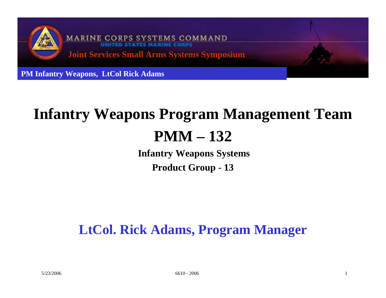

# **Infantry Weapons Program Management Team PMM – 132**

**Infantry Weapons Systems Product Group - 13**

## **LtCol. Rick Adams, Program Manager**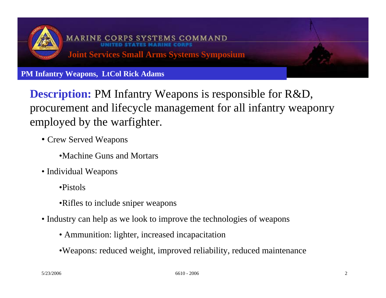

**Description:** PM Infantry Weapons is responsible for R&D, procurement and lifecycle management for all infantry weaponry employed by the warfighter.

- Crew Served Weapons
	- •Machine Guns and Mortars
- Individual Weapons
	- •Pistols
	- •Rifles to include sniper weapons
- Industry can help as we look to improve the technologies of weapons
	- Ammunition: lighter, increased incapacitation
	- •Weapons: reduced weight, improved reliability, reduced maintenance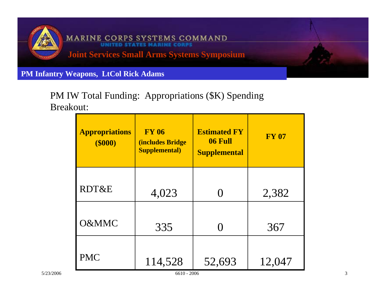

#### PM IW Total Funding: Appropriations (\$K) Spending Breakout:

| RDT&E<br>2,382<br>4,023<br>O&MMC<br>335<br>367<br><b>PMC</b> | <b>Appropriations</b><br>$($ \$000 $)$ | <b>FY 06</b><br><b>(includes Bridge)</b><br><b>Supplemental)</b> | <b>Estimated FY</b><br>06 Full<br><b>Supplemental</b> | <b>FY 07</b> |
|--------------------------------------------------------------|----------------------------------------|------------------------------------------------------------------|-------------------------------------------------------|--------------|
|                                                              |                                        |                                                                  |                                                       |              |
|                                                              |                                        |                                                                  |                                                       |              |
|                                                              |                                        | 114,528                                                          | 52,693                                                | 12,047       |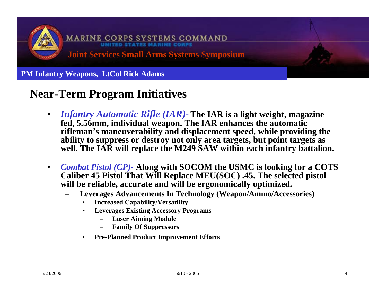

### **Near-Term Program Initiatives**

- $\bullet$  *Infantry Automatic Rifle (IAR)-* **The IAR is a light weight, magazine fed, 5.56mm, individual weapon. The IAR enhances the automatic rifleman's maneuverability and displacement speed, while providing the ability to suppress or destroy not only area targets, but point targets as**  well. The IAR will replace the M249 SAW within each infantry battalion.
- $\bullet$  *Combat Pistol (CP)-* **Along with SOCOM the USMC is looking for a COTS Caliber 45 Pistol That Will Replace MEU(SOC) .45. The selected pistol will be reliable, accurate and will be ergonomically optimized.**
	- **Leverages Advancements In Technology (Weapon/Ammo/Accessories)**
		- **Increased Capability/Versatility**
		- • **Leverages Existing Accessory Programs**
			- **Laser Aiming Module**
			- **Family Of Suppressors**
		- •**Pre-Planned Product Improvement Efforts**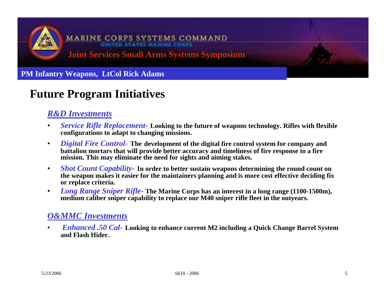

### **Future Program Initiatives**

#### *R&D Investments*

- $\bullet$  *Service Rifle Replacement-* **Looking to the future of weapons technology. Rifles with flexible configurations to adapt to changing missions.**
- • *Digital Fire Control-* **The development of the digital fire control system for company and battalion mortars that will provide better accuracy and timeliness of fire response to a fire mission. This may eliminate the need for sights and aiming stakes.**
- • *Shot Count Capability-* **In order to better sustain weapons determining the round count on the weapon makes it easier for the maintainers planning and is more cost effective deciding fix or replace criteria.**
- $\bullet$  *Long Range Sniper Rifle-* **The Marine Corps has an interest in a long range (1100-1500m),**  medium caliber sniper capability to replace our M40 sniper rifle fleet in the outvears.

#### *O&MMC Investments*

• *Enhanced .50 Cal-* **Looking to enhance current M2 including a Quick Change Barrel System and Flash Hider.**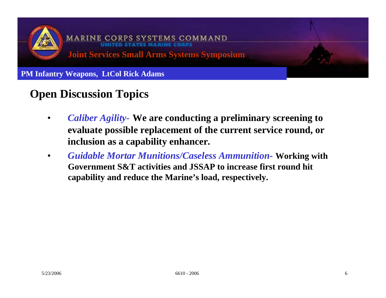

### **Open Discussion Topics**

- • *Caliber Agility-* **We are conducting a preliminary screening to evaluate possible replacement of the current service round, or inclusion as a capability enhancer.**
- • *Guidable Mortar Munitions/Caseless Ammunition-* **Working with Government S&T activities and JSSAP to increase first round hit capability and reduce the Marine's load, respectively.**